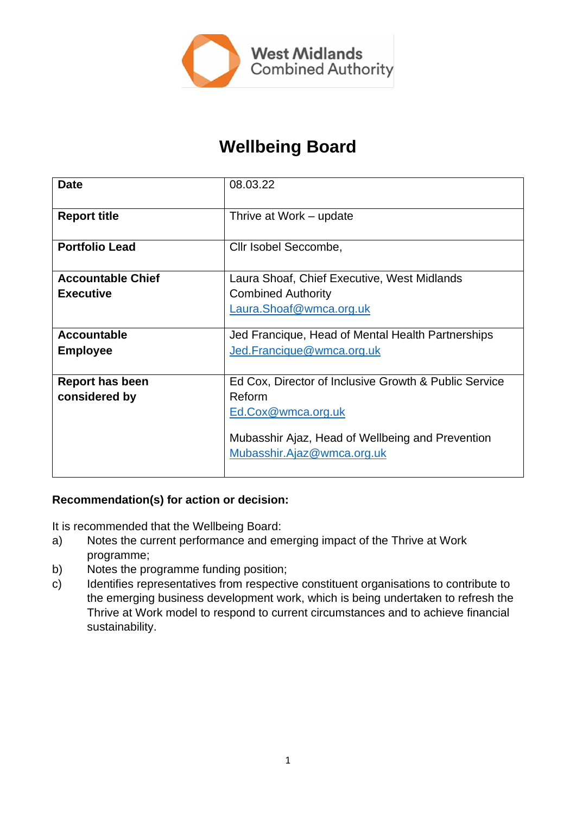

# **Wellbeing Board**

| <b>Date</b>              | 08.03.22                                              |
|--------------------------|-------------------------------------------------------|
| <b>Report title</b>      | Thrive at Work – update                               |
| <b>Portfolio Lead</b>    | Cllr Isobel Seccombe,                                 |
| <b>Accountable Chief</b> | Laura Shoaf, Chief Executive, West Midlands           |
| <b>Executive</b>         | <b>Combined Authority</b>                             |
|                          | Laura.Shoaf@wmca.org.uk                               |
| <b>Accountable</b>       | Jed Francique, Head of Mental Health Partnerships     |
| <b>Employee</b>          | Jed.Francique@wmca.org.uk                             |
| <b>Report has been</b>   | Ed Cox, Director of Inclusive Growth & Public Service |
| considered by            | Reform                                                |
|                          | Ed.Cox@wmca.org.uk                                    |
|                          | Mubasshir Ajaz, Head of Wellbeing and Prevention      |
|                          | Mubasshir.Ajaz@wmca.org.uk                            |

## **Recommendation(s) for action or decision:**

It is recommended that the Wellbeing Board:

- a) Notes the current performance and emerging impact of the Thrive at Work programme;
- b) Notes the programme funding position;
- c) Identifies representatives from respective constituent organisations to contribute to the emerging business development work, which is being undertaken to refresh the Thrive at Work model to respond to current circumstances and to achieve financial sustainability.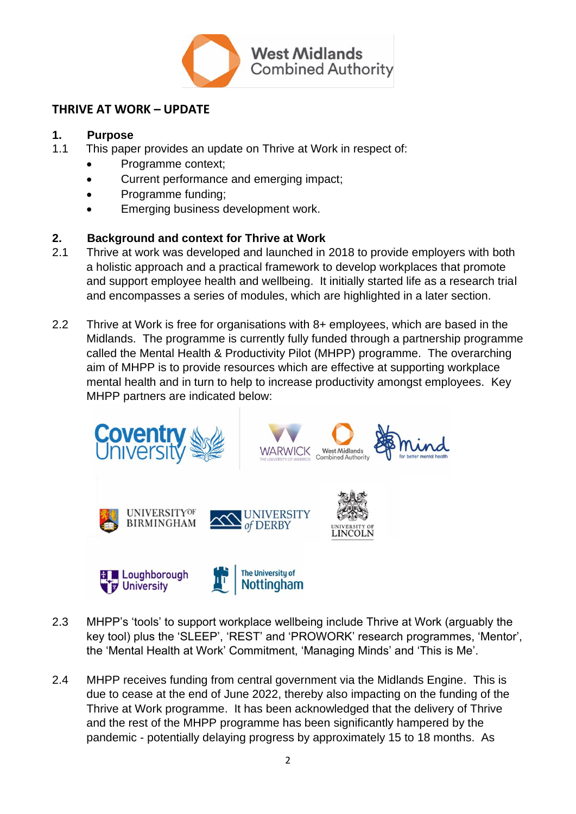

## **THRIVE AT WORK – UPDATE**

## **1. Purpose**

- 1.1 This paper provides an update on Thrive at Work in respect of:
	- Programme context;
	- Current performance and emerging impact;
	- Programme funding;
	- Emerging business development work.

## **2. Background and context for Thrive at Work**

- 2.1 Thrive at work was developed and launched in 2018 to provide employers with both a holistic approach and a practical framework to develop workplaces that promote and support employee health and wellbeing. It initially started life as a research trial and encompasses a series of modules, which are highlighted in a later section.
- 2.2 Thrive at Work is free for organisations with 8+ employees, which are based in the Midlands. The programme is currently fully funded through a partnership programme called the Mental Health & Productivity Pilot (MHPP) programme. The overarching aim of MHPP is to provide resources which are effective at supporting workplace mental health and in turn to help to increase productivity amongst employees. Key MHPP partners are indicated below:



- 2.3 MHPP's 'tools' to support workplace wellbeing include Thrive at Work (arguably the key tool) plus the 'SLEEP', 'REST' and 'PROWORK' research programmes, 'Mentor', the 'Mental Health at Work' Commitment, 'Managing Minds' and 'This is Me'.
- 2.4 MHPP receives funding from central government via the Midlands Engine. This is due to cease at the end of June 2022, thereby also impacting on the funding of the Thrive at Work programme. It has been acknowledged that the delivery of Thrive and the rest of the MHPP programme has been significantly hampered by the pandemic - potentially delaying progress by approximately 15 to 18 months. As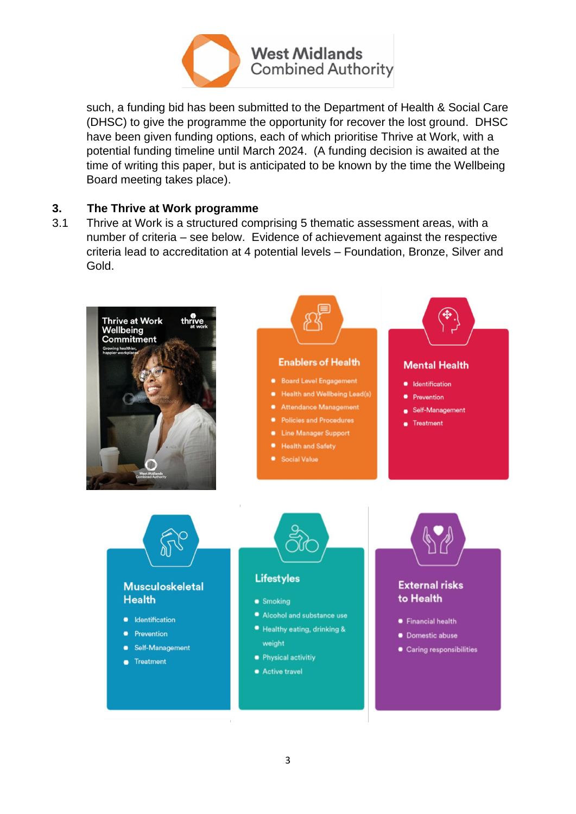

such, a funding bid has been submitted to the Department of Health & Social Care (DHSC) to give the programme the opportunity for recover the lost ground. DHSC have been given funding options, each of which prioritise Thrive at Work, with a potential funding timeline until March 2024. (A funding decision is awaited at the time of writing this paper, but is anticipated to be known by the time the Wellbeing Board meeting takes place).

## **3. The Thrive at Work programme**

3.1 Thrive at Work is a structured comprising 5 thematic assessment areas, with a number of criteria – see below. Evidence of achievement against the respective criteria lead to accreditation at 4 potential levels – Foundation, Bronze, Silver and Gold.

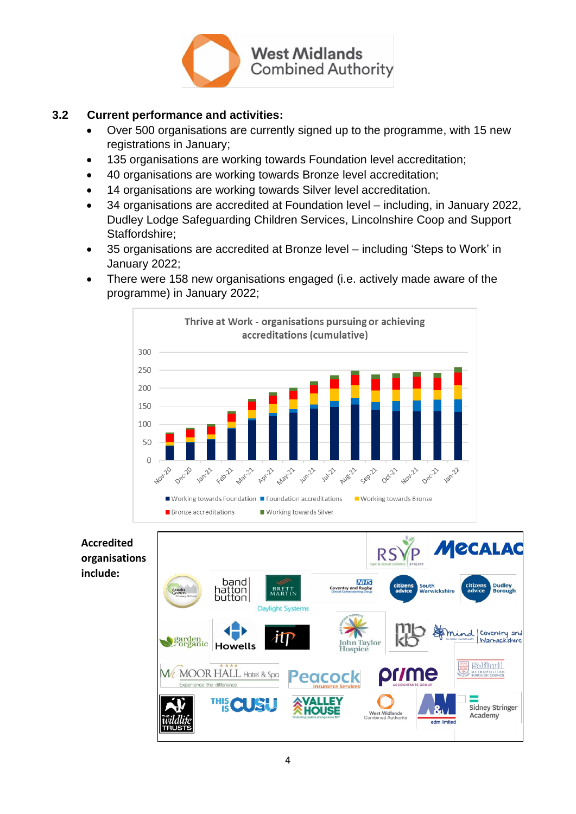

## **3.2 Current performance and activities:**

- Over 500 organisations are currently signed up to the programme, with 15 new registrations in January;
- 135 organisations are working towards Foundation level accreditation;
- 40 organisations are working towards Bronze level accreditation;
- 14 organisations are working towards Silver level accreditation.
- 34 organisations are accredited at Foundation level including, in January 2022, Dudley Lodge Safeguarding Children Services, Lincolnshire Coop and Support Staffordshire;
- 35 organisations are accredited at Bronze level including 'Steps to Work' in January 2022;
- There were 158 new organisations engaged (i.e. actively made aware of the programme) in January 2022;



**Accredited organisations include:**

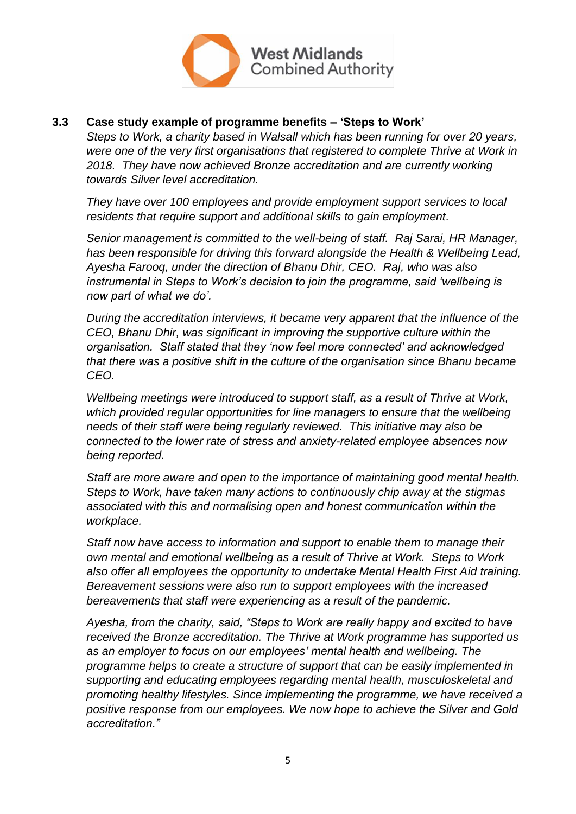

## **3.3 Case study example of programme benefits – 'Steps to Work'**

*Steps to Work, a charity based in Walsall which has been running for over 20 years, were one of the very first organisations that registered to complete Thrive at Work in 2018. They have now achieved Bronze accreditation and are currently working towards Silver level accreditation.* 

*They have over 100 employees and provide employment support services to local residents that require support and additional skills to gain employment.*

*Senior management is committed to the well-being of staff. Raj Sarai, HR Manager, has been responsible for driving this forward alongside the Health & Wellbeing Lead, Ayesha Farooq, under the direction of Bhanu Dhir, CEO. Raj, who was also instrumental in Steps to Work's decision to join the programme, said 'wellbeing is now part of what we do'.*

*During the accreditation interviews, it became very apparent that the influence of the CEO, Bhanu Dhir, was significant in improving the supportive culture within the organisation. Staff stated that they 'now feel more connected' and acknowledged that there was a positive shift in the culture of the organisation since Bhanu became CEO.* 

*Wellbeing meetings were introduced to support staff, as a result of Thrive at Work, which provided regular opportunities for line managers to ensure that the wellbeing needs of their staff were being regularly reviewed. This initiative may also be connected to the lower rate of stress and anxiety-related employee absences now being reported.* 

*Staff are more aware and open to the importance of maintaining good mental health. Steps to Work, have taken many actions to continuously chip away at the stigmas associated with this and normalising open and honest communication within the workplace.* 

*Staff now have access to information and support to enable them to manage their own mental and emotional wellbeing as a result of Thrive at Work. Steps to Work also offer all employees the opportunity to undertake Mental Health First Aid training. Bereavement sessions were also run to support employees with the increased bereavements that staff were experiencing as a result of the pandemic.*

*Ayesha, from the charity, said, "Steps to Work are really happy and excited to have received the Bronze accreditation. The Thrive at Work programme has supported us as an employer to focus on our employees' mental health and wellbeing. The programme helps to create a structure of support that can be easily implemented in supporting and educating employees regarding mental health, musculoskeletal and promoting healthy lifestyles. Since implementing the programme, we have received a positive response from our employees. We now hope to achieve the Silver and Gold accreditation."*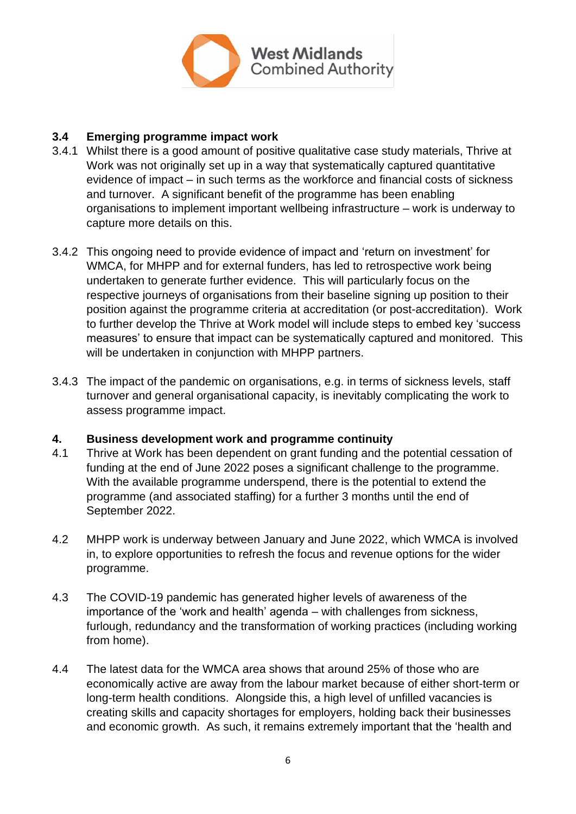

## **3.4 Emerging programme impact work**

- 3.4.1 Whilst there is a good amount of positive qualitative case study materials, Thrive at Work was not originally set up in a way that systematically captured quantitative evidence of impact – in such terms as the workforce and financial costs of sickness and turnover. A significant benefit of the programme has been enabling organisations to implement important wellbeing infrastructure – work is underway to capture more details on this.
- 3.4.2 This ongoing need to provide evidence of impact and 'return on investment' for WMCA, for MHPP and for external funders, has led to retrospective work being undertaken to generate further evidence. This will particularly focus on the respective journeys of organisations from their baseline signing up position to their position against the programme criteria at accreditation (or post-accreditation). Work to further develop the Thrive at Work model will include steps to embed key 'success measures' to ensure that impact can be systematically captured and monitored. This will be undertaken in conjunction with MHPP partners.
- 3.4.3 The impact of the pandemic on organisations, e.g. in terms of sickness levels, staff turnover and general organisational capacity, is inevitably complicating the work to assess programme impact.

## **4. Business development work and programme continuity**

- 4.1 Thrive at Work has been dependent on grant funding and the potential cessation of funding at the end of June 2022 poses a significant challenge to the programme. With the available programme underspend, there is the potential to extend the programme (and associated staffing) for a further 3 months until the end of September 2022.
- 4.2 MHPP work is underway between January and June 2022, which WMCA is involved in, to explore opportunities to refresh the focus and revenue options for the wider programme.
- 4.3 The COVID-19 pandemic has generated higher levels of awareness of the importance of the 'work and health' agenda – with challenges from sickness, furlough, redundancy and the transformation of working practices (including working from home).
- 4.4 The latest data for the WMCA area shows that around 25% of those who are economically active are away from the labour market because of either short-term or long-term health conditions. Alongside this, a high level of unfilled vacancies is creating skills and capacity shortages for employers, holding back their businesses and economic growth. As such, it remains extremely important that the 'health and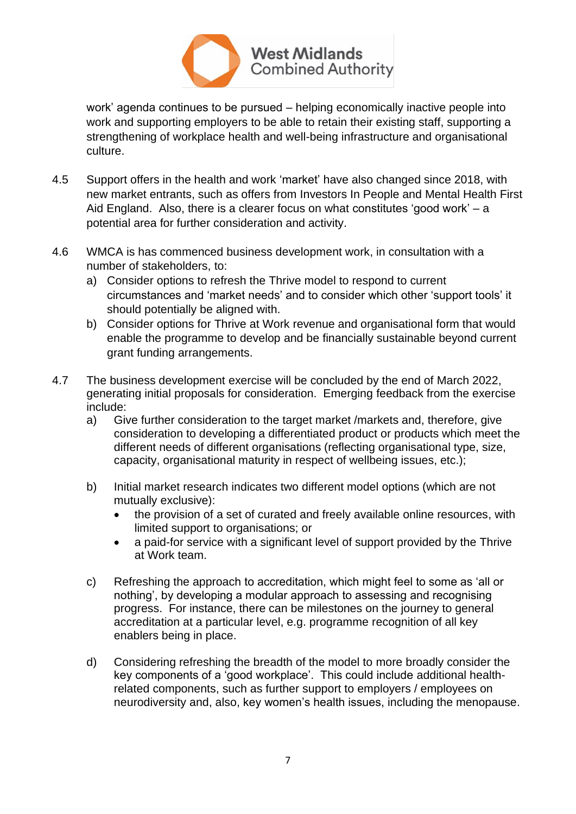

work' agenda continues to be pursued – helping economically inactive people into work and supporting employers to be able to retain their existing staff, supporting a strengthening of workplace health and well-being infrastructure and organisational culture.

- 4.5 Support offers in the health and work 'market' have also changed since 2018, with new market entrants, such as offers from Investors In People and Mental Health First Aid England. Also, there is a clearer focus on what constitutes 'good work' – a potential area for further consideration and activity.
- 4.6 WMCA is has commenced business development work, in consultation with a number of stakeholders, to:
	- a) Consider options to refresh the Thrive model to respond to current circumstances and 'market needs' and to consider which other 'support tools' it should potentially be aligned with.
	- b) Consider options for Thrive at Work revenue and organisational form that would enable the programme to develop and be financially sustainable beyond current grant funding arrangements.
- 4.7 The business development exercise will be concluded by the end of March 2022, generating initial proposals for consideration. Emerging feedback from the exercise include:
	- a) Give further consideration to the target market /markets and, therefore, give consideration to developing a differentiated product or products which meet the different needs of different organisations (reflecting organisational type, size, capacity, organisational maturity in respect of wellbeing issues, etc.);
	- b) Initial market research indicates two different model options (which are not mutually exclusive):
		- the provision of a set of curated and freely available online resources, with limited support to organisations; or
		- a paid-for service with a significant level of support provided by the Thrive at Work team.
	- c) Refreshing the approach to accreditation, which might feel to some as 'all or nothing', by developing a modular approach to assessing and recognising progress. For instance, there can be milestones on the journey to general accreditation at a particular level, e.g. programme recognition of all key enablers being in place.
	- d) Considering refreshing the breadth of the model to more broadly consider the key components of a 'good workplace'. This could include additional healthrelated components, such as further support to employers / employees on neurodiversity and, also, key women's health issues, including the menopause.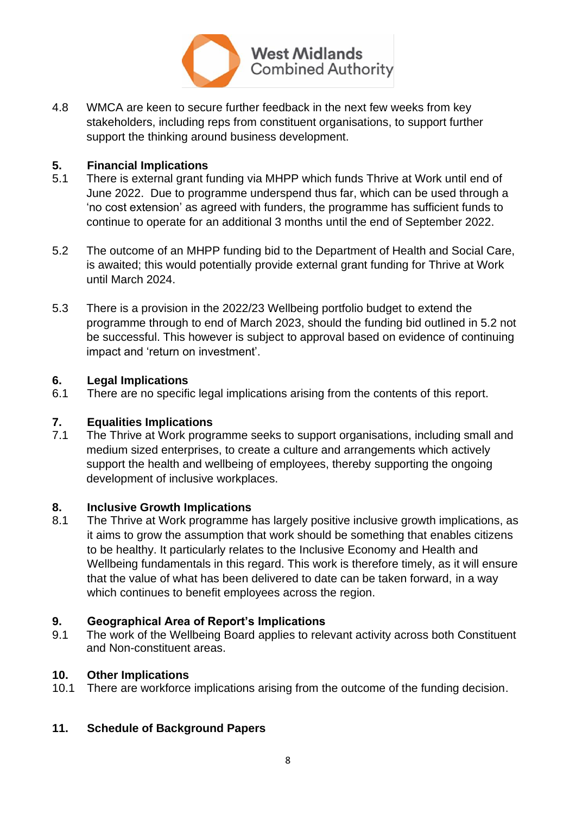

4.8 WMCA are keen to secure further feedback in the next few weeks from key stakeholders, including reps from constituent organisations, to support further support the thinking around business development.

### **5. Financial Implications**

- 5.1 There is external grant funding via MHPP which funds Thrive at Work until end of June 2022. Due to programme underspend thus far, which can be used through a 'no cost extension' as agreed with funders, the programme has sufficient funds to continue to operate for an additional 3 months until the end of September 2022.
- 5.2 The outcome of an MHPP funding bid to the Department of Health and Social Care, is awaited; this would potentially provide external grant funding for Thrive at Work until March 2024.
- 5.3 There is a provision in the 2022/23 Wellbeing portfolio budget to extend the programme through to end of March 2023, should the funding bid outlined in 5.2 not be successful. This however is subject to approval based on evidence of continuing impact and 'return on investment'.

#### **6. Legal Implications**

6.1 There are no specific legal implications arising from the contents of this report.

#### **7. Equalities Implications**

7.1 The Thrive at Work programme seeks to support organisations, including small and medium sized enterprises, to create a culture and arrangements which actively support the health and wellbeing of employees, thereby supporting the ongoing development of inclusive workplaces.

#### **8. Inclusive Growth Implications**

8.1 The Thrive at Work programme has largely positive inclusive growth implications, as it aims to grow the assumption that work should be something that enables citizens to be healthy. It particularly relates to the Inclusive Economy and Health and Wellbeing fundamentals in this regard. This work is therefore timely, as it will ensure that the value of what has been delivered to date can be taken forward, in a way which continues to benefit employees across the region.

#### **9. Geographical Area of Report's Implications**

9.1 The work of the Wellbeing Board applies to relevant activity across both Constituent and Non-constituent areas.

#### **10. Other Implications**

10.1 There are workforce implications arising from the outcome of the funding decision.

#### **11. Schedule of Background Papers**